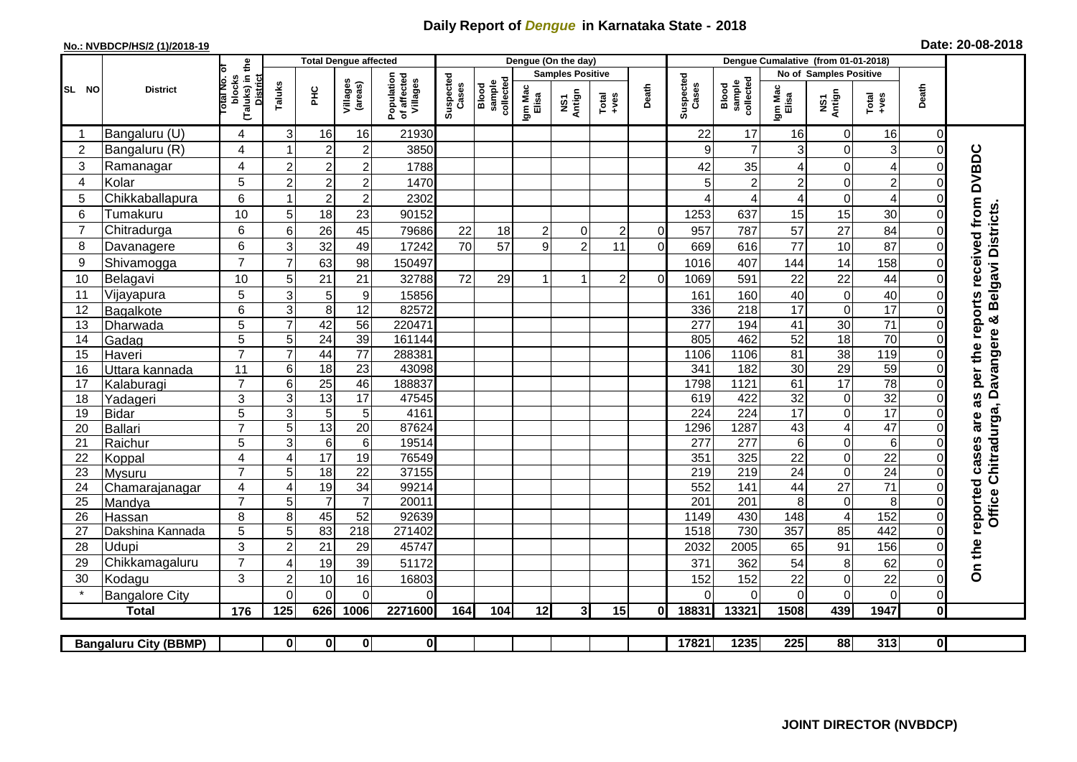## **Daily Report of** *Dengue* **in Karnataka State - 2018**

## **No.: NVBDCP/HS/2 (1)/2018-19 Date: 20-08-2018**

|                                                                                                                                                       | <b>District</b>          |                                                              | <b>Total Dengue affected</b> |                       |                                    |                                       |                    |                              |                         | Dengue (On the day) |                  |                |                    |                              |                       |                         |                                    |                            |                                                       |
|-------------------------------------------------------------------------------------------------------------------------------------------------------|--------------------------|--------------------------------------------------------------|------------------------------|-----------------------|------------------------------------|---------------------------------------|--------------------|------------------------------|-------------------------|---------------------|------------------|----------------|--------------------|------------------------------|-----------------------|-------------------------|------------------------------------|----------------------------|-------------------------------------------------------|
| SL NO                                                                                                                                                 |                          |                                                              |                              |                       |                                    |                                       | Suspected<br>Cases |                              | <b>Samples Positive</b> |                     |                  |                |                    | No of Samples Positive       |                       |                         |                                    |                            |                                                       |
|                                                                                                                                                       |                          | (Taluks) in the<br>Total No. of<br>blocks<br><b>District</b> | Taluks                       | ЭHС                   | Villages<br>(areas)                | Population<br>of affected<br>Villages |                    | sample<br>collected<br>Blood | Igm Mac<br>Elisa        | NS1<br>Antign       | Total<br>$+ve$ s | Death          | Suspected<br>Cases | collected<br>sample<br>Blood | Igm Mac<br>Elisa      | NS1<br>Antign           | Total<br>+ves                      | Death                      |                                                       |
|                                                                                                                                                       | Bangaluru (U)            | 4                                                            | 3                            | 16                    | 16                                 | 21930                                 |                    |                              |                         |                     |                  |                | 22                 | 17                           | 16                    | 0                       | 16                                 | $\mathbf 0$                |                                                       |
| 2                                                                                                                                                     | Bangaluru (R)            | 4                                                            |                              | $\overline{2}$        | $\overline{c}$                     | 3850                                  |                    |                              |                         |                     |                  |                | 9                  | $\overline{7}$               | 3                     | $\mathbf 0$             | 3                                  | $\mathbf 0$                |                                                       |
| 3                                                                                                                                                     | Ramanagar                | 4                                                            | $\overline{2}$               | $\overline{2}$        | $\overline{c}$                     | 1788                                  |                    |                              |                         |                     |                  |                | 42                 | 35                           | 4                     | $\overline{0}$          | $\overline{\mathbf{4}}$            | $\Omega$                   | <b>DVBDC</b>                                          |
| 4                                                                                                                                                     | Kolar                    | 5                                                            | $\overline{2}$               | $\boldsymbol{2}$      | $\overline{c}$                     | 1470                                  |                    |                              |                         |                     |                  |                | 5                  | $\overline{c}$               | $\overline{c}$        | $\overline{0}$          | $\overline{c}$                     | $\Omega$                   |                                                       |
| 5                                                                                                                                                     | Chikkaballapura          | 6                                                            |                              | $\boldsymbol{2}$      | $\overline{c}$                     | 2302                                  |                    |                              |                         |                     |                  |                |                    | 4                            | 4                     | $\mathbf 0$             | $\overline{4}$                     | $\Omega$                   |                                                       |
| 6                                                                                                                                                     | Tumakuru                 | 10                                                           | 5                            | 18                    | 23                                 | 90152                                 |                    |                              |                         |                     |                  |                | 1253               | 637                          | 15                    | 15                      | 30                                 | $\Omega$                   | as per the reports received from<br>Belgavi Districts |
|                                                                                                                                                       | Chitradurga              | 6                                                            | 6                            | 26                    | 45                                 | 79686                                 | 22                 | 18                           | 2                       | $\mathbf 0$         | $\overline{c}$   | $\Omega$       | 957                | 787                          | 57                    | 27                      | 84                                 | $\Omega$                   |                                                       |
| 8                                                                                                                                                     | Davanagere               | 6                                                            | 3                            | 32                    | 49                                 | 17242                                 | 70                 | 57                           | 9                       | $\overline{2}$      | 11               | $\overline{O}$ | 669                | 616                          | 77                    | 10                      | 87                                 | $\mathbf 0$                |                                                       |
| 9                                                                                                                                                     | Shivamogga               | $\overline{7}$                                               | $\overline{7}$               | 63                    | 98                                 | 150497                                |                    |                              |                         |                     |                  |                | 1016               | 407                          | 144                   | 14                      | 158                                | $\mathbf 0$                |                                                       |
| 10                                                                                                                                                    | Belagavi                 | 10                                                           | 5                            | 21                    | 21                                 | 32788                                 | 72                 | 29                           |                         | 1                   | $\overline{2}$   | $\Omega$       | 1069               | 591                          | 22                    | 22                      | 44                                 | $\Omega$                   |                                                       |
| 11                                                                                                                                                    | Vijayapura               | 5                                                            | 3                            | $\sqrt{5}$            | $\boldsymbol{9}$                   | 15856                                 |                    |                              |                         |                     |                  |                | 161                | 160                          | 40                    | 0                       | 40                                 | $\mathbf 0$                |                                                       |
| 12                                                                                                                                                    | Bagalkote                | 6                                                            | 3                            | 8                     | $\overline{12}$                    | 82572                                 |                    |                              |                         |                     |                  |                | 336                | 218                          | $\overline{17}$       | 0                       | 17                                 | $\mathbf 0$                |                                                       |
| 13                                                                                                                                                    | Dharwada                 | $\overline{5}$                                               | $\overline{7}$               | 42                    | 56                                 | 220471                                |                    |                              |                         |                     |                  |                | 277                | 194                          | $\overline{41}$       | 30                      | $\overline{71}$                    | $\overline{0}$             | න්                                                    |
| 14                                                                                                                                                    | Gadag                    | 5                                                            | 5                            | $\overline{24}$       | 39                                 | 161144                                |                    |                              |                         |                     |                  |                | 805                | 462                          | 52                    | 18                      | 70                                 | $\Omega$                   |                                                       |
| 15                                                                                                                                                    | Haveri                   | $\overline{7}$                                               | $\overline{7}$               | 44                    | 77                                 | 288381                                |                    |                              |                         |                     |                  |                | 1106               | 1106                         | 81                    | $\overline{38}$         | 119                                | $\mathbf 0$                | Davangere                                             |
| 16                                                                                                                                                    | Uttara kannada           | 11                                                           | 6                            | $\overline{18}$       | $\overline{23}$                    | 43098                                 |                    |                              |                         |                     |                  |                | 341                | 182                          | $\overline{30}$       | 29                      | 59                                 | $\mathbf 0$                |                                                       |
| 17                                                                                                                                                    | Kalaburagi               | $\overline{7}$                                               | 6                            | $\overline{25}$       | 46                                 | 188837                                |                    |                              |                         |                     |                  |                | 1798               | 1121                         | 61                    | $\overline{17}$         | $\overline{78}$                    | $\Omega$                   |                                                       |
| 18                                                                                                                                                    | Yadageri                 | 3                                                            | 3                            | 13                    | 17                                 | 47545                                 |                    |                              |                         |                     |                  |                | 619                | 422                          | 32                    | $\pmb{0}$               | 32                                 | $\Omega$                   |                                                       |
| 19                                                                                                                                                    | <b>Bidar</b>             | 5                                                            | $\mathbf{3}$                 | 5                     | 5                                  | 4161                                  |                    |                              |                         |                     |                  |                | 224                | 224                          | $\overline{17}$       | 0                       | 17                                 | $\Omega$                   | are                                                   |
| 20                                                                                                                                                    | Ballari                  | $\overline{7}$                                               | 5                            | 13                    | $\overline{20}$                    | 87624                                 |                    |                              |                         |                     |                  |                | 1296               | 1287                         | 43                    | $\overline{\mathbf{4}}$ | 47                                 | $\Omega$                   |                                                       |
| 21                                                                                                                                                    | Raichur                  | $\overline{5}$                                               | $\overline{3}$               | $6\phantom{1}6$       | $\overline{6}$                     | 19514                                 |                    |                              |                         |                     |                  |                | $\overline{277}$   | 277                          | $6\phantom{1}$        | $\overline{0}$          | $\overline{6}$                     | $\mathbf 0$                |                                                       |
| 22                                                                                                                                                    | Koppal                   | 4                                                            | $\boldsymbol{\Delta}$        | 17                    | 19                                 | 76549                                 |                    |                              |                         |                     |                  |                | 351                | 325                          | 22                    | 0                       | $\overline{22}$                    | $\Omega$                   |                                                       |
| 23<br>24                                                                                                                                              | <b>Mysuru</b>            | $\overline{7}$<br>4                                          | 5<br>$\overline{4}$          | $\overline{18}$<br>19 | $\overline{22}$<br>$\overline{34}$ | 37155<br>99214                        |                    |                              |                         |                     |                  |                | 219<br>552         | 219<br>141                   | $\overline{24}$<br>44 | 0<br>$\overline{27}$    | $\overline{24}$<br>$\overline{71}$ | $\mathbf 0$<br>$\mathbf 0$ |                                                       |
| 25                                                                                                                                                    | Chamarajanagar<br>Mandya | $\overline{7}$                                               | 5                            | $\overline{7}$        | $\overline{7}$                     | 20011                                 |                    |                              |                         |                     |                  |                | 201                | $\overline{201}$             | 8                     | $\boldsymbol{0}$        | 8                                  | $\Omega$                   | Office Chitradurga,                                   |
| 26                                                                                                                                                    | Hassan                   | 8                                                            | 8                            | 45                    | 52                                 | 92639                                 |                    |                              |                         |                     |                  |                | 1149               | 430                          | 148                   | $\overline{4}$          | 152                                | $\mathbf 0$                |                                                       |
| 27                                                                                                                                                    | Dakshina Kannada         | 5                                                            | 5                            | 83                    | 218                                | 271402                                |                    |                              |                         |                     |                  |                | 1518               | 730                          | $\overline{357}$      | 85                      | 442                                | $\mathbf 0$                | reported cases                                        |
| 28                                                                                                                                                    | Udupi                    | 3                                                            | $\overline{c}$               | 21                    | 29                                 | 45747                                 |                    |                              |                         |                     |                  |                | 2032               | 2005                         | 65                    | 91                      | 156                                | $\Omega$                   |                                                       |
| 29                                                                                                                                                    | Chikkamagaluru           | $\overline{7}$                                               | ⊿                            | 19                    | 39                                 | 51172                                 |                    |                              |                         |                     |                  |                | 371                | 362                          | 54                    | 8                       | 62                                 | 0                          | On the                                                |
| 30                                                                                                                                                    | Kodagu                   | 3                                                            | $\overline{2}$               | $10$                  | 16                                 | 16803                                 |                    |                              |                         |                     |                  |                | 152                | 152                          | 22                    | 0                       | 22                                 | $\mathbf 0$                |                                                       |
|                                                                                                                                                       | <b>Bangalore City</b>    |                                                              | $\Omega$                     | $\mathbf{0}$          | $\Omega$                           | $\Omega$                              |                    |                              |                         |                     |                  |                | $\Omega$           | $\Omega$                     | $\Omega$              | $\Omega$                | $\mathbf 0$                        | $\mathbf 0$                |                                                       |
|                                                                                                                                                       | <b>Total</b>             | 176                                                          | 125                          | 626                   | 1006                               | 2271600                               | 164                | 104                          | 12                      | $\mathbf{3}$        | 15               | ΩI             | 18831              | 13321                        | 1508                  | 439                     | 1947                               | $\mathbf 0$                |                                                       |
|                                                                                                                                                       |                          |                                                              |                              |                       |                                    |                                       |                    |                              |                         |                     |                  |                |                    |                              |                       |                         |                                    |                            |                                                       |
| $\overline{\mathbf{0}}$<br>17821<br>1235<br>225<br>88<br>313<br>$\overline{0}$<br>$\mathbf{0}$<br>$\mathbf{0}$<br> 0 <br><b>Bangaluru City (BBMP)</b> |                          |                                                              |                              |                       |                                    |                                       |                    |                              |                         |                     |                  |                |                    |                              |                       |                         |                                    |                            |                                                       |